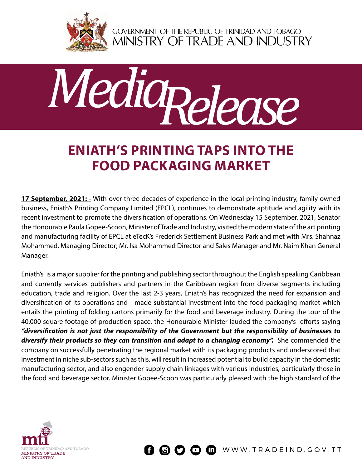

GOVERNMENT OF THE REPUBLIC OF TRINIDAD AND TOBAGO<br>MINISTRY OF TRADE AND INDUSTRY



## **ENIATH'S PRINTING TAPS INTO THE FOOD PACKAGING MARKET**

**17 September, 2021:** - With over three decades of experience in the local printing industry, family owned business, Eniath's Printing Company Limited (EPCL), continues to demonstrate aptitude and agility with its recent investment to promote the diversification of operations. On Wednesday 15 September, 2021, Senator the Honourable Paula Gopee-Scoon, Minister of Trade and Industry, visited the modern state of the art printing and manufacturing facility of EPCL at eTecK's Frederick Settlement Business Park and met with Mrs. Shahnaz Mohammed, Managing Director; Mr. Isa Mohammed Director and Sales Manager and Mr. Naim Khan General Manager.

Eniath's is a major supplier for the printing and publishing sector throughout the English speaking Caribbean and currently services publishers and partners in the Caribbean region from diverse segments including education, trade and religion. Over the last 2-3 years, Eniath's has recognized the need for expansion and diversification of its operations and made substantial investment into the food packaging market which entails the printing of folding cartons primarily for the food and beverage industry. During the tour of the 40,000 square footage of production space, the Honourable Minister lauded the company's efforts saying *"diversification is not just the responsibility of the Government but the responsibility of businesses to*  diversify their products so they can transition and adapt to a changing economy". She commended the company on successfully penetrating the regional market with its packaging products and underscored that investment in niche sub-sectors such as this, will result in increased potential to build capacity in the domestic manufacturing sector, and also engender supply chain linkages with various industries, particularly those in the food and beverage sector. Minister Gopee-Scoon was particularly pleased with the high standard of the